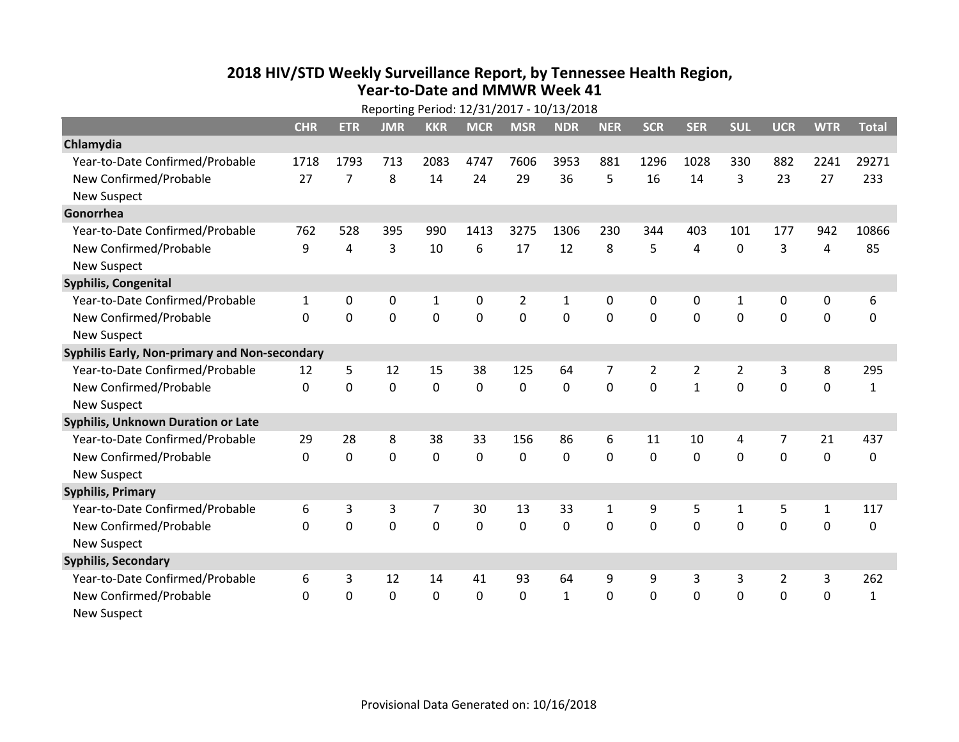## **2018 HIV /STD Weekl y Surveillance Report, b y Tennessee Health Region, Year‐to‐Date and MMWR Week 41**

| Reporting Period: 12/31/2017 - 10/13/2018     |              |                |             |             |                |                |                |              |                |                |                |                |              |              |
|-----------------------------------------------|--------------|----------------|-------------|-------------|----------------|----------------|----------------|--------------|----------------|----------------|----------------|----------------|--------------|--------------|
|                                               | <b>CHR</b>   | <b>ETR</b>     | <b>JMR</b>  | <b>KKR</b>  | <b>MCR</b>     | <b>MSR</b>     | <b>NDR</b>     | <b>NER</b>   | <b>SCR</b>     | <b>SER</b>     | <b>SUL</b>     | <b>UCR</b>     | <b>WTR</b>   | <b>Total</b> |
| Chlamydia                                     |              |                |             |             |                |                |                |              |                |                |                |                |              |              |
| Year-to-Date Confirmed/Probable               | 1718         | 1793           | 713         | 2083        | 4747           | 7606           | 3953           | 881          | 1296           | 1028           | 330            | 882            | 2241         | 29271        |
| New Confirmed/Probable                        | 27           | $\overline{7}$ | 8           | 14          | 24             | 29             | 36             | 5            | 16             | 14             | 3              | 23             | 27           | 233          |
| <b>New Suspect</b>                            |              |                |             |             |                |                |                |              |                |                |                |                |              |              |
| Gonorrhea                                     |              |                |             |             |                |                |                |              |                |                |                |                |              |              |
| Year-to-Date Confirmed/Probable               | 762          | 528            | 395         | 990         | 1413           | 3275           | 1306           | 230          | 344            | 403            | 101            | 177            | 942          | 10866        |
| New Confirmed/Probable                        | 9            | 4              | 3           | 10          | 6              | 17             | 12             | 8            | 5              | 4              | $\mathbf 0$    | 3              | 4            | 85           |
| <b>New Suspect</b>                            |              |                |             |             |                |                |                |              |                |                |                |                |              |              |
| Syphilis, Congenital                          |              |                |             |             |                |                |                |              |                |                |                |                |              |              |
| Year-to-Date Confirmed/Probable               | $\mathbf{1}$ | 0              | 0           | 1           | 0              | 2              | $\mathbf{1}$   | 0            | 0              | 0              | 1              | 0              | 0            | 6            |
| New Confirmed/Probable                        | $\Omega$     | $\Omega$       | $\mathbf 0$ | $\mathbf 0$ | $\overline{0}$ | $\overline{0}$ | $\overline{0}$ | 0            | $\overline{0}$ | $\mathbf 0$    | $\mathbf{0}$   | $\mathbf 0$    | $\mathbf 0$  | $\mathbf{0}$ |
| <b>New Suspect</b>                            |              |                |             |             |                |                |                |              |                |                |                |                |              |              |
| Syphilis Early, Non-primary and Non-secondary |              |                |             |             |                |                |                |              |                |                |                |                |              |              |
| Year-to-Date Confirmed/Probable               | 12           | 5              | 12          | 15          | 38             | 125            | 64             | 7            | 2              | $\overline{2}$ | $\overline{2}$ | 3              | 8            | 295          |
| New Confirmed/Probable                        | $\mathbf{0}$ | $\mathbf 0$    | $\mathbf 0$ | 0           | $\mathbf 0$    | $\mathbf 0$    | $\mathbf 0$    | 0            | $\Omega$       | $\mathbf{1}$   | $\mathbf{0}$   | $\overline{0}$ | $\mathbf 0$  | 1            |
| <b>New Suspect</b>                            |              |                |             |             |                |                |                |              |                |                |                |                |              |              |
| <b>Syphilis, Unknown Duration or Late</b>     |              |                |             |             |                |                |                |              |                |                |                |                |              |              |
| Year-to-Date Confirmed/Probable               | 29           | 28             | 8           | 38          | 33             | 156            | 86             | 6            | 11             | 10             | 4              | 7              | 21           | 437          |
| New Confirmed/Probable                        | $\Omega$     | $\mathbf 0$    | $\mathbf 0$ | $\mathbf 0$ | $\mathbf 0$    | $\mathbf{0}$   | $\mathbf 0$    | $\Omega$     | $\Omega$       | $\Omega$       | $\Omega$       | $\mathbf 0$    | $\mathbf 0$  | $\Omega$     |
| <b>New Suspect</b>                            |              |                |             |             |                |                |                |              |                |                |                |                |              |              |
| <b>Syphilis, Primary</b>                      |              |                |             |             |                |                |                |              |                |                |                |                |              |              |
| Year-to-Date Confirmed/Probable               | 6            | 3              | 3           | 7           | 30             | 13             | 33             | $\mathbf{1}$ | 9              | 5              | $\mathbf{1}$   | 5              | $\mathbf{1}$ | 117          |
| New Confirmed/Probable                        | $\Omega$     | $\mathbf 0$    | $\mathbf 0$ | $\mathbf 0$ | $\mathbf 0$    | $\mathbf 0$    | $\mathbf 0$    | 0            | $\mathbf 0$    | $\mathbf 0$    | $\mathbf 0$    | 0              | 0            | 0            |
| <b>New Suspect</b>                            |              |                |             |             |                |                |                |              |                |                |                |                |              |              |
| <b>Syphilis, Secondary</b>                    |              |                |             |             |                |                |                |              |                |                |                |                |              |              |
| Year-to-Date Confirmed/Probable               | 6            | 3              | 12          | 14          | 41             | 93             | 64             | 9            | 9              | 3              | 3              | $\overline{2}$ | 3            | 262          |
| New Confirmed/Probable                        | 0            | 0              | $\mathbf 0$ | $\mathbf 0$ | 0              | 0              | $\mathbf{1}$   | 0            | 0              | $\mathbf 0$    | 0              | $\mathbf 0$    | $\mathbf 0$  | 1            |
| <b>New Suspect</b>                            |              |                |             |             |                |                |                |              |                |                |                |                |              |              |